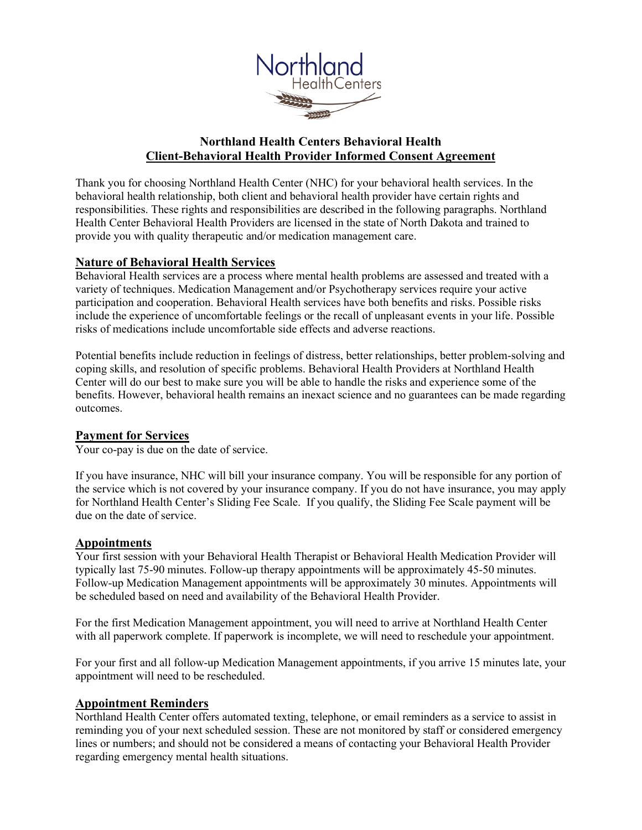

# **Northland Health Centers Behavioral Health Client-Behavioral Health Provider Informed Consent Agreement**

Thank you for choosing Northland Health Center (NHC) for your behavioral health services. In the behavioral health relationship, both client and behavioral health provider have certain rights and responsibilities. These rights and responsibilities are described in the following paragraphs. Northland Health Center Behavioral Health Providers are licensed in the state of North Dakota and trained to provide you with quality therapeutic and/or medication management care.

## **Nature of Behavioral Health Services**

Behavioral Health services are a process where mental health problems are assessed and treated with a variety of techniques. Medication Management and/or Psychotherapy services require your active participation and cooperation. Behavioral Health services have both benefits and risks. Possible risks include the experience of uncomfortable feelings or the recall of unpleasant events in your life. Possible risks of medications include uncomfortable side effects and adverse reactions.

Potential benefits include reduction in feelings of distress, better relationships, better problem-solving and coping skills, and resolution of specific problems. Behavioral Health Providers at Northland Health Center will do our best to make sure you will be able to handle the risks and experience some of the benefits. However, behavioral health remains an inexact science and no guarantees can be made regarding outcomes.

## **Payment for Services**

Your co-pay is due on the date of service.

If you have insurance, NHC will bill your insurance company. You will be responsible for any portion of the service which is not covered by your insurance company. If you do not have insurance, you may apply for Northland Health Center's Sliding Fee Scale. If you qualify, the Sliding Fee Scale payment will be due on the date of service.

## **Appointments**

Your first session with your Behavioral Health Therapist or Behavioral Health Medication Provider will typically last 75-90 minutes. Follow-up therapy appointments will be approximately 45-50 minutes. Follow-up Medication Management appointments will be approximately 30 minutes. Appointments will be scheduled based on need and availability of the Behavioral Health Provider.

For the first Medication Management appointment, you will need to arrive at Northland Health Center with all paperwork complete. If paperwork is incomplete, we will need to reschedule your appointment.

For your first and all follow-up Medication Management appointments, if you arrive 15 minutes late, your appointment will need to be rescheduled.

## **Appointment Reminders**

Northland Health Center offers automated texting, telephone, or email reminders as a service to assist in reminding you of your next scheduled session. These are not monitored by staff or considered emergency lines or numbers; and should not be considered a means of contacting your Behavioral Health Provider regarding emergency mental health situations.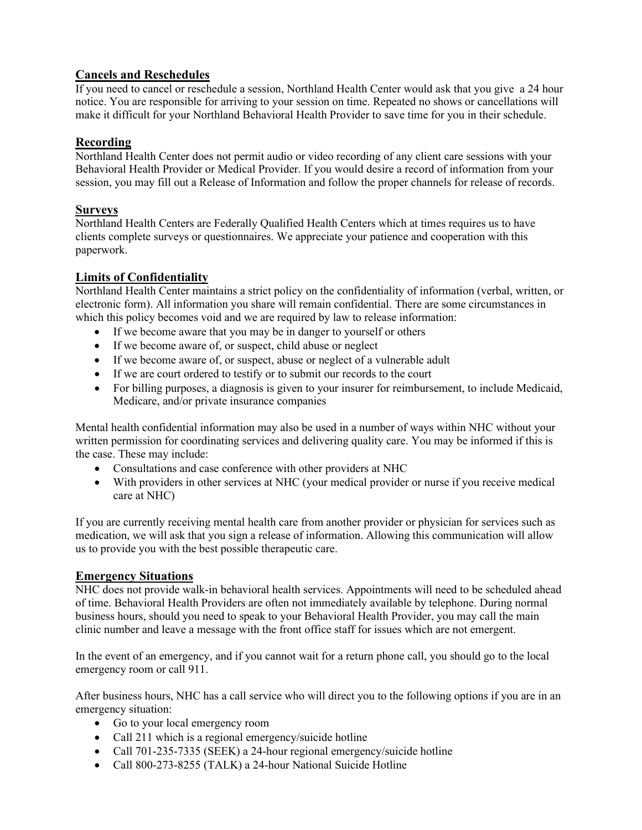# **Cancels and Reschedules**

If you need to cancel or reschedule a session, Northland Health Center would ask that you give a 24 hour notice. You are responsible for arriving to your session on time. Repeated no shows or cancellations will make it difficult for your Northland Behavioral Health Provider to save time for you in their schedule.

# **Recording**

Northland Health Center does not permit audio or video recording of any client care sessions with your Behavioral Health Provider or Medical Provider. If you would desire a record of information from your session, you may fill out a Release of Information and follow the proper channels for release of records.

## **Surveys**

Northland Health Centers are Federally Qualified Health Centers which at times requires us to have clients complete surveys or questionnaires. We appreciate your patience and cooperation with this paperwork.

# **Limits of Confidentiality**

Northland Health Center maintains a strict policy on the confidentiality of information (verbal, written, or electronic form). All information you share will remain confidential. There are some circumstances in which this policy becomes void and we are required by law to release information:

- If we become aware that you may be in danger to yourself or others
- If we become aware of, or suspect, child abuse or neglect
- If we become aware of, or suspect, abuse or neglect of a vulnerable adult
- If we are court ordered to testify or to submit our records to the court
- For billing purposes, a diagnosis is given to your insurer for reimbursement, to include Medicaid, Medicare, and/or private insurance companies

Mental health confidential information may also be used in a number of ways within NHC without your written permission for coordinating services and delivering quality care. You may be informed if this is the case. These may include:

- Consultations and case conference with other providers at NHC
- With providers in other services at NHC (your medical provider or nurse if you receive medical care at NHC)

If you are currently receiving mental health care from another provider or physician for services such as medication, we will ask that you sign a release of information. Allowing this communication will allow us to provide you with the best possible therapeutic care.

# **Emergency Situations**

NHC does not provide walk-in behavioral health services. Appointments will need to be scheduled ahead of time. Behavioral Health Providers are often not immediately available by telephone. During normal business hours, should you need to speak to your Behavioral Health Provider, you may call the main clinic number and leave a message with the front office staff for issues which are not emergent.

In the event of an emergency, and if you cannot wait for a return phone call, you should go to the local emergency room or call 911.

After business hours, NHC has a call service who will direct you to the following options if you are in an emergency situation:

- Go to your local emergency room
- Call 211 which is a regional emergency/suicide hotline
- Call 701-235-7335 (SEEK) a 24-hour regional emergency/suicide hotline
- Call 800-273-8255 (TALK) a 24-hour National Suicide Hotline